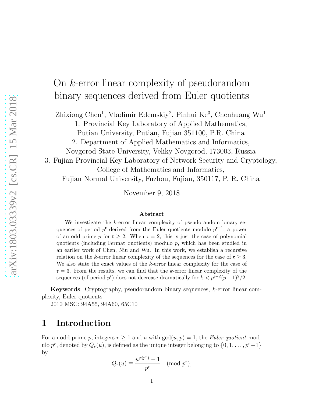# On k-error linear complexity of pseudorandom binary sequences derived from Euler quotients

Zhixiong Chen<sup>1</sup>, Vladimir Edemskiy<sup>2</sup>, Pinhui Ke<sup>3</sup>, Chenhuang Wu<sup>1</sup>

1. Provincial Key Laboratory of Applied Mathematics,

Putian University, Putian, Fujian 351100, P.R. China

2. Department of Applied Mathematics and Informatics,

Novgorod State University, Veliky Novgorod, 173003, Russia

3. Fujian Provincial Key Laboratory of Network Security and Cryptology, College of Mathematics and Informatics,

Fujian Normal University, Fuzhou, Fujian, 350117, P. R. China

November 9, 2018

#### Abstract

We investigate the  $k$ -error linear complexity of pseudorandom binary sequences of period  $p^r$  derived from the Euler quotients modulo  $p^{r-1}$ , a power of an odd prime p for  $\mathfrak{r} \geq 2$ . When  $\mathfrak{r} = 2$ , this is just the case of polynomial quotients (including Fermat quotients) modulo  $p$ , which has been studied in an earlier work of Chen, Niu and Wu. In this work, we establish a recursive relation on the k-error linear complexity of the sequences for the case of  $\mathfrak{r} \geq 3$ . We also state the exact values of the k-error linear complexity for the case of  $r = 3$ . From the results, we can find that the k-error linear complexity of the sequences (of period  $p^r$ ) does not decrease dramatically for  $k < p^{r-2}(p-1)^2/2$ .

Keywords: Cryptography, pseudorandom binary sequences, k-error linear complexity, Euler quotients.

2010 MSC: 94A55, 94A60, 65C10

## 1 Introduction

For an odd prime p, integers  $r \geq 1$  and u with  $gcd(u, p) = 1$ , the Euler quotient modulo  $p^r$ , denoted by  $Q_r(u)$ , is defined as the unique integer belonging to  $\{0, 1, \ldots, p^r-1\}$ by

$$
Q_r(u) \equiv \frac{u^{\varphi(p^r)} - 1}{p^r}
$$
 (mod  $p^r$ ),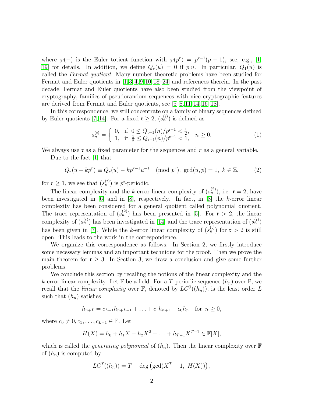where  $\varphi(-)$  is the Euler totient function with  $\varphi(p^r) = p^{r-1}(p-1)$ , see, e.g., [\[1,](#page-11-0) [19\]](#page-12-0) for details. In addition, we define  $Q_r(u) = 0$  if  $p|u$ . In particular,  $Q_1(u)$  is called the Fermat quotient. Many number theoretic problems have been studied for Fermat and Euler quotients in [\[1,](#page-11-0)[3,](#page-11-1)[4,](#page-11-2)[9,](#page-12-1)[10,](#page-12-2)[18–](#page-12-3)[24\]](#page-13-0) and references therein. In the past decade, Fermat and Euler quotients have also been studied from the viewpoint of cryptography, families of pseudorandom sequences with nice cryptographic features are derived from Fermat and Euler quotients, see [\[5–](#page-11-3)[8,](#page-12-4) [11,](#page-12-5) [14,](#page-12-6) [16–](#page-12-7)[18\]](#page-12-3).

In this correspondence, we still concentrate on a family of binary sequences defined by Euler quotients [\[7,](#page-12-8) [14\]](#page-12-6). For a fixed  $\mathfrak{r} \geq 2$ ,  $(s_n^{(\mathfrak{r})})$  is defined as

<span id="page-1-1"></span>
$$
s_n^{(t)} = \begin{cases} 0, & \text{if } 0 \le Q_{t-1}(n)/p^{t-1} < \frac{1}{2}, \\ 1, & \text{if } \frac{1}{2} \le Q_{t-1}(n)/p^{t-1} < 1, \end{cases} \quad n \ge 0. \tag{1}
$$

We always use  $\mathfrak r$  as a fixed parameter for the sequences and r as a general variable.

Due to the fact [\[1\]](#page-11-0) that

<span id="page-1-0"></span>
$$
Q_r(u + kp^r) \equiv Q_r(u) - kp^{r-1}u^{-1} \pmod{p^r}, \text{ gcd}(u, p) = 1, k \in \mathbb{Z},
$$
 (2)

for  $r \geq 1$ , we see that  $(s_n^{(r)})$  is p<sup>r</sup>-periodic.

The linear complexity and the k-error linear complexity of  $(s_n^{(2)})$ , i.e.  $\mathfrak{r} = 2$ , have been investigated in [\[6\]](#page-11-4) and in [\[8\]](#page-12-4), respectively. In fact, in [\[8\]](#page-12-4) the k-error linear complexity has been considered for a general quotient called polynomial quotient. The trace representation of  $(s_n^{(2)})$  has been presented in [\[5\]](#page-11-3). For  $\mathfrak{r} > 2$ , the linear complexity of  $(s_n^{(t)})$  has been investigated in [\[14\]](#page-12-6) and the trace representation of  $(s_n^{(t)})$ has been given in [\[7\]](#page-12-8). While the k-error linear complexity of  $(s_n^{(t)})$  for  $t > 2$  is still open. This leads to the work in the correspondence.

We organize this correspondence as follows. In Section 2, we firstly introduce some necessary lemmas and an important technique for the proof. Then we prove the main theorem for  $\mathfrak{r} \geq 3$ . In Section 3, we draw a conclusion and give some further problems.

We conclude this section by recalling the notions of the linear complexity and the k-error linear complexity. Let  $\mathbb F$  be a field. For a T-periodic sequence  $(h_n)$  over  $\mathbb F$ , we recall that the *linear complexity* over  $\mathbb{F}$ , denoted by  $LC^{\mathbb{F}}((h_n))$ , is the least order L such that  $(h_n)$  satisfies

$$
h_{n+L} = c_{L-1}h_{n+L-1} + \ldots + c_1h_{n+1} + c_0h_n \quad \text{for } n \ge 0,
$$

where  $c_0 \neq 0, c_1, \ldots, c_{L-1} \in \mathbb{F}$ . Let

$$
H(X) = h_0 + h_1 X + h_2 X^2 + \ldots + h_{T-1} X^{T-1} \in \mathbb{F}[X],
$$

which is called the *generating polynomial* of  $(h_n)$ . Then the linear complexity over  $\mathbb F$ of  $(h_n)$  is computed by

$$
LC^{\mathbb{F}}((h_n)) = T - \deg \left( \gcd(X^T - 1, H(X)) \right),
$$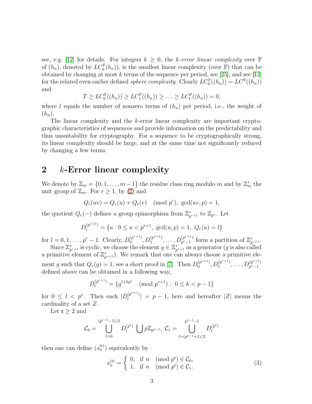see, e.g. [\[12\]](#page-12-9) for details. For integers  $k \geq 0$ , the k-error linear complexity over F of  $(h_n)$ , denoted by  $LC_k^{\mathbb{F}}(h_n)$ , is the smallest linear complexity (over  $\mathbb{F}$ ) that can be obtained by changing at most  $k$  terms of the sequence per period, see [\[25\]](#page-13-1), and see [\[13\]](#page-12-10) for the related even earlier defined *sphere complexity*. Clearly  $LC_0^{\mathbb{F}}((h_n)) = LC^{\mathbb{F}}((h_n))$ and

$$
T \ge LC_0^{\mathbb{F}}((h_n)) \ge LC_1^{\mathbb{F}}((h_n)) \ge \ldots \ge LC_l^{\mathbb{F}}((h_n)) = 0,
$$

where l equals the number of nonzero terms of  $(h_n)$  per period, i.e., the weight of  $(h_n)$ .

The linear complexity and the k-error linear complexity are important cryptographic characteristics of sequences and provide information on the predictability and thus unsuitability for cryptography. For a sequence to be cryptographically strong, its linear complexity should be large, and at the same time not significantly reduced by changing a few terms.

### 2 k-Error linear complexity

We denote by  $\mathbb{Z}_m = \{0, 1, \ldots, m-1\}$  the residue class ring modulo m and by  $\mathbb{Z}_m^*$  the unit group of  $\mathbb{Z}_m$ . For  $r \geq 1$ , by [\(2\)](#page-1-0) and

$$
Q_r(uv) = Q_r(u) + Q_r(v) \pmod{p^r}
$$
,  $gcd(uv, p) = 1$ ,

the quotient  $Q_r(-)$  defines a group epimorphism from  $\mathbb{Z}_p^*$  $_{p^{r+1}}^*$  to  $\mathbb{Z}_{p^r}.$  Let

$$
D_l^{(p^{r+1})} = \{u : 0 \le u < p^{r+1}, \gcd(u, p) = 1, \ Q_r(u) = l\}
$$

for  $l = 0, 1, ..., p^r - 1$ . Clearly,  $D_0^{(p^{r+1})}$  $\binom{(p^{r+1})}{0}, D_1^{(p^{r+1})}$  $1^{(p^{r+1})}, \ldots, D_{p^{r}-1}^{(p^{r+1})}$  $p^{(p^{r+1})}_{p^{r}-1}$  form a partition of  $\mathbb{Z}_p^*$  $_{p^{r+1}}^*$ .

Since  $\mathbb{Z}_p^*$  $_{p^{r+1}}^*$  is cyclic, we choose the element  $g \in \mathbb{Z}_p^*$  $_{p^{r+1}}^*$  as a generator ( $g$  is also called a primitive element of  $\mathbb{Z}_n^*$  $_{p^{r+1}}^*$ ). We remark that one can always choose a primitive element g such that  $Q_r(g) = 1$ , see a short proof in [\[7\]](#page-12-8). Then  $D_0^{(p^{r+1})}$  $\binom{(p^{r+1})}{0}, D_1^{(p^{r+1})}$  $1^{(p^{r+1})}, \ldots, D_{p^{r}-1}^{(p^{r+1})}$  $p^r-1$ defined above can be obtained in a following way,

$$
D_l^{(p^{r+1})} = \{ g^{l+kp^r} \pmod{p^{r+1}} : 0 \le k < p-1 \}
$$

for  $0 \leq l \leq p^r$ . Then each  $|D_l^{(p^{r+1})}|$  $\left| \begin{array}{c} \left[ p^{(n+1)} \right] = p-1, \end{array} \right|$  here and hereafter  $|Z|$  means the cardinality of a set Z.

Let  $\mathfrak{r} \geq 2$  and

$$
\mathcal{C}_0 = \bigcup_{l=0}^{(p^{\mathfrak{r}-1}-1)/2} D_l^{(p^{\mathfrak{r}})} \bigcup p\mathbb{Z}_{p^{\mathfrak{r}-1}}, \ \mathcal{C}_1 = \bigcup_{l=(p^{\mathfrak{r}-1}+1)/2}^{p^{\mathfrak{r}-1}-1} D_l^{(p^{\mathfrak{r}})}
$$

then one can define  $(s_n^{(t)})$  equivalently by

<span id="page-2-0"></span>
$$
s_n^{(\mathfrak{r})} = \begin{cases} 0, & \text{if } n \pmod{p^{\mathfrak{r}}} \in \mathcal{C}_0, \\ 1, & \text{if } n \pmod{p^{\mathfrak{r}}} \in \mathcal{C}_1. \end{cases}
$$
(3)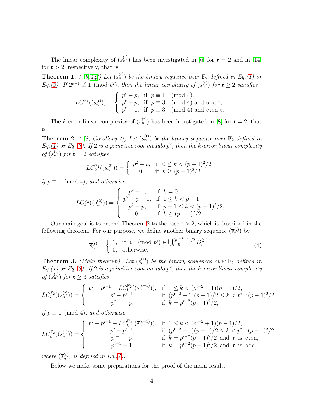The linear complexity of  $(s_n^{(t)})$  has been investigated in [\[6\]](#page-11-4) for  $\mathfrak{r} = 2$  and in [\[14\]](#page-12-6) for  $\mathfrak{r} > 2$ , respectively, that is

<span id="page-3-2"></span>**Theorem 1.** ( [\[6,](#page-11-4) [14\]](#page-12-6)) Let  $(s_n^{(t)})$  be the binary sequence over  $\mathbb{F}_2$  defined in Eq.[\(1\)](#page-1-1) or Eq.[\(3\)](#page-2-0). If  $2^{p-1} \not\equiv 1 \pmod{p^2}$ , then the linear complexity of  $(s_n^{(t)})$  for  $t \geq 2$  satisfies

$$
LC^{\mathbb{F}_2}((s_n^{(\mathfrak{r})})) = \begin{cases} p^{\mathfrak{r}} - p, & \text{if } p \equiv 1 \pmod{4}, \\ p^{\mathfrak{r}} - p, & \text{if } p \equiv 3 \pmod{4} \text{ and odd } \mathfrak{r}, \\ p^{\mathfrak{r}} - 1, & \text{if } p \equiv 3 \pmod{4} \text{ and even } \mathfrak{r}. \end{cases}
$$

The k-error linear complexity of  $(s_n^{(r)})$  has been investigated in [\[8\]](#page-12-4) for  $r = 2$ , that is

<span id="page-3-0"></span>**Theorem 2.** ([8, Corollary 1]) Let  $(s_n^{(t)})$  be the binary sequence over  $\mathbb{F}_2$  defined in Eq.[\(1\)](#page-1-1) or Eq.[\(3\)](#page-2-0). If 2 is a primitive root modulo  $p^2$ , then the k-error linear complexity of  $(s_n^{(r)})$  for  $r = 2$  satisfies

$$
LC_k^{\mathbb{F}_2}((s_n^{(2)})) = \begin{cases} p^2 - p, & \text{if } 0 \le k < (p-1)^2/2, \\ 0, & \text{if } k \ge (p-1)^2/2, \end{cases}
$$

if  $p \equiv 1 \pmod{4}$ , and otherwise

$$
LC_k^{\mathbb{F}_2}((s_n^{(2)})) = \begin{cases} p^2 - 1, & \text{if } k = 0, \\ p^2 - p + 1, & \text{if } 1 \le k < p - 1, \\ p^2 - p, & \text{if } p - 1 \le k < (p - 1)^2/2, \\ 0, & \text{if } k \ge (p - 1)^2/2. \end{cases}
$$

Our main goal is to extend Theorem [2](#page-3-0) to the case  $\mathfrak{r} > 2$ , which is described in the following theorem. For our purpose, we define another binary sequence  $(\overline{s}_n^{(t)})$  by

<span id="page-3-1"></span>
$$
\overline{s}_n^{(\mathfrak{r})} = \begin{cases} 1, & \text{if } n \pmod{p^{\mathfrak{r}}} \in \bigcup_{l=0}^{(p^{\mathfrak{r}-1}-1)/2} D_l^{(p^{\mathfrak{r}})},\\ 0, & \text{otherwise.} \end{cases} (4)
$$

<span id="page-3-3"></span>**Theorem 3.** (Main theorem). Let  $(s_n^{(t)})$  be the binary sequences over  $\mathbb{F}_2$  defined in Eq.[\(1\)](#page-1-1) or Eq.[\(3\)](#page-2-0). If 2 is a primitive root modulo  $p^2$ , then the k-error linear complexity of  $(s_n^{(r)})$  for  $r \geq 3$  satisfies

$$
LC_k^{\mathbb{F}_2}((s_n^{(\mathbf{t})})) = \begin{cases} p^{\mathbf{t}} - p^{\mathbf{t}-1} + LC_k^{\mathbb{F}_2}((s_n^{(\mathbf{t}-1)})), & \text{if } 0 \le k < (p^{\mathbf{t}-2} - 1)(p-1)/2, \\ p^{\mathbf{t}} - p^{\mathbf{t}-1}, & \text{if } (p^{\mathbf{t}-2} - 1)(p-1)/2 \le k < p^{\mathbf{t}-2}(p-1)^2/2, \\ p^{\mathbf{t}-1} - p, & \text{if } k = p^{\mathbf{t}-2}(p-1)^2/2, \end{cases}
$$

if  $p \equiv 1 \pmod{4}$ , and otherwise

$$
LC_k^{\mathbb{F}_2}((s_n^{(\mathfrak{r})})) = \begin{cases} p^{\mathfrak{r}} - p^{\mathfrak{r}-1} + LC_k^{\mathbb{F}_2}((\overline{s}_n^{(\mathfrak{r}-1)})), & \text{if } 0 \le k < (p^{\mathfrak{r}-2}+1)(p-1)/2, \\ p^{\mathfrak{r}} - p^{\mathfrak{r}-1}, & \text{if } (p^{\mathfrak{r}-2}+1)(p-1)/2 \le k < p^{\mathfrak{r}-2}(p-1)^2/2, \\ p^{\mathfrak{r}-1} - p, & \text{if } k = p^{\mathfrak{r}-2}(p-1)^2/2 \text{ and } \mathfrak{r} \text{ is even,} \\ p^{\mathfrak{r}-1} - 1, & \text{if } k = p^{\mathfrak{r}-2}(p-1)^2/2 \text{ and } \mathfrak{r} \text{ is odd,} \end{cases}
$$

where  $(\overline{s}_n^{(t)})$  is defined in Eq.[\(4\)](#page-3-1).

Below we make some preparations for the proof of the main result.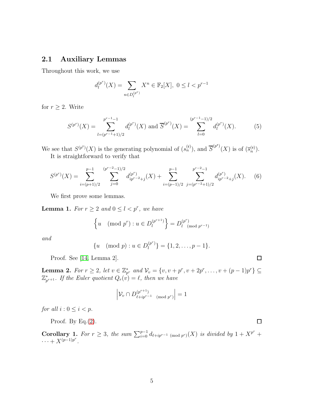#### 2.1 Auxiliary Lemmas

Throughout this work, we use

$$
d_l^{(p^r)}(X) = \sum_{n \in D_l^{(p^r)}} X^n \in \mathbb{F}_2[X], \ 0 \le l < p^{r-1}
$$

for  $r \geq 2$ . Write

<span id="page-4-1"></span>
$$
S^{(p^r)}(X) = \sum_{l=(p^{r-1}+1)/2}^{p^{r-1}-1} d_l^{(p^r)}(X) \text{ and } \overline{S}^{(p^r)}(X) = \sum_{l=0}^{(p^{r-1}-1)/2} d_l^{(p^r)}(X). \tag{5}
$$

We see that  $S^{(p^{\mathsf{r}})}(X)$  is the generating polynomial of  $(s_n^{(\mathsf{r})})$ , and  $\overline{S}^{(p^{\mathsf{r}})}(X)$  is of  $(\overline{s}_n^{(\mathsf{r})})$ .

It is straightforward to verify that

<span id="page-4-3"></span>
$$
S^{(p^r)}(X) = \sum_{i=(p+1)/2}^{p-1} \sum_{j=0}^{(p^r-2-1)/2} d_{ip^{r-2}+j}^{(p^r)}(X) + \sum_{i=(p-1)/2}^{p-1} \sum_{j=(p^{r-2}+1)/2}^{p^{r-2}-1} d_{ip^{r-2}+j}^{(p^r)}(X). \tag{6}
$$

We first prove some lemmas.

<span id="page-4-2"></span>**Lemma 1.** For  $r \geq 2$  and  $0 \leq l < p^r$ , we have

$$
\left\{ u \pmod{p^r} : u \in D_l^{(p^{r+1})} \right\} = D_l^{(p^r)} \pmod{p^{r-1}}
$$

and

$$
\{u \pmod{p} : u \in D_l^{(p^r)}\} = \{1, 2, \dots, p-1\}.
$$

Proof. See [\[14,](#page-12-6) Lemma 2].

<span id="page-4-0"></span>**Lemma 2.** For  $r \ge 2$ , let  $v \in \mathbb{Z}_{p^r}^*$  and  $\mathcal{V}_v = \{v, v + p^r, v + 2p^r, \dots, v + (p-1)p^r\} \subseteq$  $\mathbb{Z}_n^*$  $_{p^{r+1}}^{*}$ . If the Euler quotient  $Q_r(v) = \ell$ , then we have

$$
\left| \mathcal{V}_{v} \cap D_{\ell + ip^{r-1} \pmod{p^r}}^{(p^{r+1})} \right| = 1
$$

for all  $i: 0 \leq i < p$ .

Proof. By Eq. $(2)$ .

<span id="page-4-4"></span>**Corollary 1.** For  $r \geq 3$ , the sum  $\sum_{i=0}^{p-1} d_{\ell+ip^{r-1} \pmod{p^r}}(X)$  is divided by  $1 + X^{p^r} +$  $\cdots + X^{(p-1)p^{r}}$ .

 $\Box$ 

 $\Box$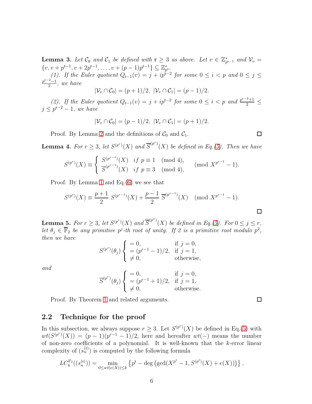<span id="page-5-0"></span>**Lemma 3.** Let  $\mathcal{C}_0$  and  $\mathcal{C}_1$  be defined with  $\mathfrak{r} \geq 3$  as above. Let  $v \in \mathbb{Z}_p^*$  $_{p^{\mathfrak{r}-1}}^*$  and  $\mathcal{V}_v$  =  $\{v, v + p^{r-1}, v + 2p^{r-1}, \dots, v + (p-1)p^{r-1}\} \subseteq \mathbb{Z}_{p^r}^*$ . (1). If the Euler quotient  $Q_{r-1}(v) = j + ip^{r-2}$  for some  $0 \le i < p$  and  $0 \le j \le n$  $p^{\mathfrak{r}-2}-1$  $\frac{2-1}{2}$ , we have

$$
|\mathcal{V}_v \cap \mathcal{C}_0| = (p+1)/2, \ |\mathcal{V}_v \cap \mathcal{C}_1| = (p-1)/2.
$$

(2). If the Euler quotient  $Q_{r-1}(v) = j + ip^{r-2}$  for some  $0 \le i < p$  and  $\frac{p^{r-2}+1}{2} \le j$  $j \leq p^{r-2} - 1$ , we have

$$
|\mathcal{V}_v \cap \mathcal{C}_0| = (p-1)/2, \ |\mathcal{V}_v \cap \mathcal{C}_1| = (p+1)/2.
$$

Proof. By Lemma [2](#page-4-0) and the definitions of  $C_0$  and  $C_1$ .

<span id="page-5-3"></span>**Lemma 4.** For  $r \geq 3$ , let  $S^{(p^r)}(X)$  and  $\overline{S}^{(p^r)}(X)$  be defined in Eq.[\(5\)](#page-4-1). Then we have

$$
S^{(p^r)}(X) \equiv \begin{cases} S^{(p^{r-1})}(X) & \text{if } p \equiv 1 \pmod{4}, \\ \overline{S}^{(p^{r-1})}(X) & \text{if } p \equiv 3 \pmod{4}, \end{cases} \pmod{X^{p^{r-1}}-1}.
$$

Proof. By Lemma [1](#page-4-2) and Eq.[\(6\)](#page-4-3) we see that

$$
S^{(p^r)}(X) \equiv \frac{p+1}{2} S^{(p^{r-1})}(X) + \frac{p-1}{2} \overline{S}^{(p^{r-1})}(X) \pmod{X^{p^{r-1}} - 1}.
$$

<span id="page-5-2"></span>**Lemma 5.** For  $r \geq 3$ , let  $S^{(p^r)}(X)$  and  $\overline{S}^{(p^r)}(X)$  be defined in Eq.[\(5\)](#page-4-1). For  $0 \leq j \leq r$ , let  $\theta_j \in \overline{\mathbb{F}}_2$  be any primitive  $p^j$ -th root of unity. If 2 is a primitive root modulo  $p^2$ , then we have

$$
S^{(p^r)}(\theta_j) \begin{cases} = 0, & \text{if } j = 0, \\ = (p^{r-1} - 1)/2, & \text{if } j = 1, \\ \neq 0, & \text{otherwise,} \end{cases}
$$

and

$$
\overline{S}^{(p^r)}(\theta_j) \begin{cases}\n= 0, & \text{if } j = 0, \\
= (p^{r-1} + 1)/2, & \text{if } j = 1, \\
\neq 0, & \text{otherwise.} \n\end{cases}
$$

Proof. By Theorem [1](#page-3-2) and related arguments.

#### <span id="page-5-1"></span>2.2 Technique for the proof

In this subsection, we always suppose  $r \geq 3$ . Let  $S^{(p^r)}(X)$  be defined in Eq.[\(5\)](#page-4-1) with  $wt(S^{(p^r)}(X)) = (p-1)(p^{r-1}-1)/2$ , here and hereafter  $wt(-)$  means the number of non-zero coefficients of a polynomial. It is well-known that the  $k$ -error linear complexity of  $(s_n^{(r)})$  is computed by the following formula

$$
LC_k^{\mathbb{F}_2}((s_n^{(\mathfrak{r})})) = \min_{0 \le wt(e(X)) \le k} \left\{ p^{\mathfrak{r}} - \deg \left( \gcd(X^{p^{\mathfrak{r}}} - 1, S^{(p^{\mathfrak{r}})}(X) + e(X)) \right) \right\},\,
$$

 $\Box$ 

 $\Box$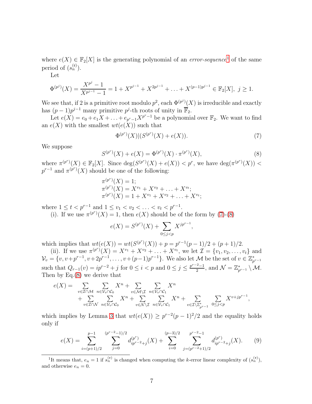where  $e(X) \in \mathbb{F}_2[X]$  is the generating polynomial of an *error-sequence*<sup>[1](#page-6-0)</sup> of the same period of  $(s_n^{(r)})$ .

Let

$$
\Phi^{(p^j)}(X) = \frac{X^{p^j} - 1}{X^{p^{j-1}} - 1} = 1 + X^{p^{j-1}} + X^{2p^{j-1}} + \ldots + X^{(p-1)p^{j-1}} \in \mathbb{F}_2[X], \ j \ge 1.
$$

We see that, if 2 is a primitive root modulo  $p^2$ , each  $\Phi^{(p^j)}(X)$  is irreducible and exactly has  $(p-1)p^{j-1}$  many primitive  $p^j$ -th roots of unity in  $\overline{\mathbb{F}}_2$ .

Let  $e(X) = e_0 + e_1 X + \ldots + e_{p^r-1} X^{p^r-1}$  be a polynomial over  $\mathbb{F}_2$ . We want to find an  $e(X)$  with the smallest  $wt(e(X))$  such that

<span id="page-6-1"></span>
$$
\Phi^{(p^r)}(X)|(S^{(p^r)}(X) + e(X)).
$$
\n(7)

,

We suppose

<span id="page-6-2"></span>
$$
S^{(p^r)}(X) + e(X) = \Phi^{(p^r)}(X) \cdot \pi^{(p^r)}(X),\tag{8}
$$

where  $\pi^{(p^r)}(X) \in \mathbb{F}_2[X]$ . Since  $\deg(S^{(p^r)}(X) + e(X)) < p^r$ , we have  $\deg(\pi^{(p^r)}(X)) <$  $p^{r-1}$  and  $\pi^{(p^r)}(X)$  should be one of the following:

$$
\pi^{(p^r)}(X) = 1; \n\pi^{(p^r)}(X) = X^{v_1} + X^{v_2} + \dots + X^{v_t}; \n\pi^{(p^r)}(X) = 1 + X^{v_1} + X^{v_2} + \dots + X^{v_t};
$$

where  $1 \le t < p^{r-1}$  and  $1 \le v_1 < v_2 < \ldots < v_t < p^{r-1}$ .

(i). If we use  $\pi^{(p^r)}(X) = 1$ , then  $e(X)$  should be of the form by [\(7\)](#page-6-1)-[\(8\)](#page-6-2)

$$
e(X) = S^{(p^r)}(X) + \sum_{0 \le j < p} X^{jp^{r-1}}
$$

which implies that  $wt(e(X)) = wt(S^{(p^r)}(X)) + p = p^{r-1}(p-1)/2 + (p+1)/2$ .

(ii). If we use  $\pi^{(p^r)}(X) = X^{v_1} + X^{v_2} + \ldots + X^{v_t}$ , we let  $\mathcal{I} = \{v_1, v_2, \ldots, v_t\}$  and  $\mathcal{V}_v = \{v, v + p^{r-1}, v + 2p^{r-1}, \ldots, v + (p-1)p^{r-1}\}.$  We also let M be the set of  $v \in \mathbb{Z}_p^*$  $p^{r-1}$ such that  $Q_{r-1}(v) = ip^{r-2} + j$  for  $0 \le i < p$  and  $0 \le j \le \frac{p^{r-2}-1}{2}$  $\frac{2^{2}-1}{2}$ , and  $\mathcal{N} = \mathbb{Z}_{p^{r-1}}^* \setminus \mathcal{M}$ . Then by Eq.[\(8\)](#page-6-2) we derive that

$$
e(X) = \sum_{v \in \mathcal{I} \cap \mathcal{M}} \sum_{n \in \mathcal{V}_v \cap \mathcal{C}_0} X^n + \sum_{v \in \mathcal{M} \backslash \mathcal{I}} \sum_{n \in \mathcal{V}_v \cap \mathcal{C}_1} X^n + \sum_{v \in \mathcal{N} \backslash \mathcal{I}} \sum_{n \in \mathcal{V}_v \cap \mathcal{C}_1} X^n + \sum_{v \in \mathcal{I} \backslash \mathbb{Z}_{p^{r-1}}} \sum_{n \in \mathcal{V}_v \cap \mathcal{C}_1} X^n + \sum_{v \in \mathcal{I} \backslash \mathbb{Z}_{p^{r-1}}} \sum_{0 \le j < p} X^{v+jp^{r-1}},
$$

which implies by Lemma [3](#page-5-0) that  $wt(e(X)) \geq p^{r-2}(p-1)^2/2$  and the equality holds only if

<span id="page-6-3"></span>
$$
e(X) = \sum_{i=(p+1)/2}^{p-1} \sum_{j=0}^{(p^{r-2}-1)/2} d_{ip^{r-2}+j}^{(p^{r})}(X) + \sum_{i=0}^{(p-3)/2} \sum_{j=(p^{r-2}+1)/2}^{p^{r-2}-1} d_{ip^{r-2}+j}^{(p^{r})}(X). \tag{9}
$$

<span id="page-6-0"></span><sup>1</sup>It means that,  $e_n = 1$  if  $s_n^{(t)}$  is changed when computing the k-error linear complexity of  $(s_n^{(t)})$ , and otherwise  $e_n = 0$ .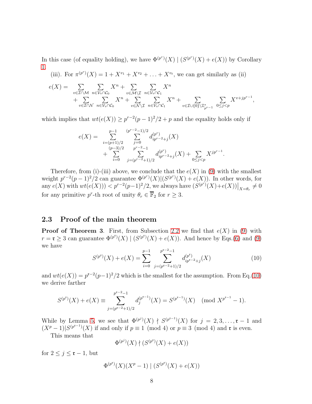In this case (of equality holding), we have  $\Phi^{(p^r)}(X) | (S^{(p^r)}(X) + e(X))$  by Corollary [1.](#page-4-4)

(iii). For  $\pi^{(p^r)}(X) = 1 + X^{v_1} + X^{v_2} + \ldots + X^{v_t}$ , we can get similarly as (ii)

$$
e(X) = \sum_{v \in \mathcal{I} \cap \mathcal{M}} \sum_{n \in \mathcal{V}_v \cap \mathcal{C}_0} X^n + \sum_{v \in \mathcal{M} \backslash \mathcal{I}} \sum_{n \in \mathcal{V}_v \cap \mathcal{C}_1} X^n + \sum_{v \in \mathcal{N} \backslash \mathcal{I}} \sum_{n \in \mathcal{V}_v \cap \mathcal{C}_1} X^n + \sum_{v \in \mathcal{I} \cup \{0\}} \sum_{\chi^n + \chi^n} \sum_{v \in \mathcal{I} \cup \{0\}} X^{v + j p^{r-1}},
$$

which implies that  $wt(e(X)) \geq p^{r-2}(p-1)^2/2 + p$  and the equality holds only if

$$
e(X) = \sum_{\substack{i=(p+1)/2 \ p-3 \geq 0}}^{p-1} \sum_{\substack{j=0 \ p-2 \geq 1 \ p^r-2-1}}^{(p^r-2-1)/2} d_{ip^{r-2}+j}^{(p^r)}(X) + \sum_{\substack{(p-3)/2 \ p^r-2 \geq 1 \ p^r-2+1 \geq 0}}^{(p^r)} d_{ip^{r-2}+j}^{(p^r)}(X) + \sum_{0 \leq j < p} X^{jp^{r-1}}.
$$

Therefore, from (i)-(iii) above, we conclude that the  $e(X)$  in [\(9\)](#page-6-3) with the smallest weight  $p^{r-2}(p-1)^2/2$  can guarantee  $\Phi^{(p^r)}(X)|(S^{(p^r)}(X)+e(X))$ . In other words, for any  $e(X)$  with  $wt(e(X))) < p^{r-2}(p-1)^2/2$ , we always have  $(S^{(p^r)}(X)+e(X))\big|_{X=\theta_r} \neq 0$ for any primitive  $p^r$ -th root of unity  $\theta_r \in \overline{\mathbb{F}}_2$  for  $r \geq 3$ .

#### 2.3 Proof of the main theorem

**Proof of Theorem 3.** First, from Subsection [2.2](#page-5-1) we find that  $e(X)$  in [\(9\)](#page-6-3) with  $r = \mathfrak{r} \geq 3$  can guarantee  $\Phi^{(p^{\mathfrak{r}})}(X) \mid (S^{(p^{\mathfrak{r}})}(X) + e(X)).$  And hence by Eqs.[\(6\)](#page-4-3) and [\(9\)](#page-6-3) we have

<span id="page-7-0"></span>
$$
S^{(p^{\mathfrak{r}})}(X) + e(X) = \sum_{i=0}^{p-1} \sum_{j=(p^{\mathfrak{r}-2}+1)/2}^{p^{\mathfrak{r}-2}-1} d_{ip^{\mathfrak{r}-2}+j}^{(p^{\mathfrak{r}})}(X)
$$
(10)

and  $wt(e(X)) = p^{r-2}(p-1)^2/2$  which is the smallest for the assumption. From Eq.[\(10\)](#page-7-0) we derive farther

$$
S^{(p^{\mathfrak{r}})}(X) + e(X) \equiv \sum_{j=(p^{\mathfrak{r}-2}+1)/2}^{p^{\mathfrak{r}-2}-1} d_j^{(p^{\mathfrak{r}-1})}(X) = S^{(p^{\mathfrak{r}-1})}(X) \pmod{X^{p^{\mathfrak{r}-1}}-1}.
$$

While by Lemma [5,](#page-5-2) we see that  $\Phi^{(p^j)}(X) \nmid S^{(p^{r-1})}(X)$  for  $j = 2, 3, \ldots, r-1$  and  $(X^p-1)|S^{(p^{r-1})}(X)$  if and only if  $p \equiv 1 \pmod{4}$  or  $p \equiv 3 \pmod{4}$  and **r** is even.

This means that

$$
\Phi^{(p^j)}(X) \nmid (S^{(p^{\mathfrak{r}})}(X) + e(X))
$$

j

for  $2 \leq j \leq \mathfrak{r} - 1$ , but

$$
\Phi^{(p^{\mathfrak{r}})}(X)(X^p-1) | (S^{(p^{\mathfrak{r}})}(X)+e(X))
$$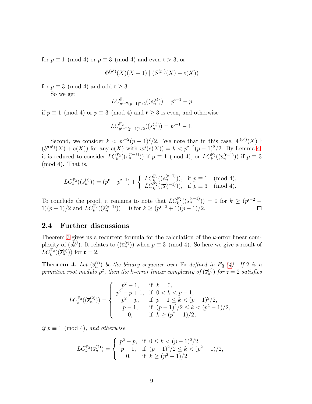for  $p \equiv 1 \pmod{4}$  or  $p \equiv 3 \pmod{4}$  and even  $\mathfrak{r} > 3$ , or

$$
\Phi^{(p^{\mathfrak{r}})}(X)(X-1) \mid (S^{(p^{\mathfrak{r}})}(X) + e(X))
$$

for  $p \equiv 3 \pmod{4}$  and odd  $\mathfrak{r} \geq 3$ .

So we get

$$
LC^{\mathbb{F}_2}_{p^{\mathfrak{r}-2}(p-1)^2/2}((s_n^{(\mathfrak{r})}))=p^{\mathfrak{r}-1}-p
$$

if  $p \equiv 1 \pmod{4}$  or  $p \equiv 3 \pmod{4}$  and  $\mathfrak{r} \geq 3$  is even, and otherwise

$$
LC_{p^{\mathfrak{r}-2}(p-1)^2/2}^{\mathbb{F}_2}((s_n^{(\mathfrak{r})})) = p^{\mathfrak{r}-1} - 1.
$$

Second, we consider  $k < p^{r-2}(p-1)^2/2$ . We note that in this case,  $\Phi^{(p^r)}(X)$  $(S^{(p^{\mathfrak{r}})}(X) + e(X))$  for any  $e(X)$  with  $wt(e(X)) = k < p^{\mathfrak{r}-2}(p-1)^2/2$ . By Lemma [4,](#page-5-3) it is reduced to consider  $LC_k^{\mathbb{F}_2}((s_n^{(r-1)}))$  if  $p \equiv 1 \pmod{4}$ , or  $LC_k^{\mathbb{F}_2}((\overline{s}_n^{(r-1)}))$  if  $p \equiv 3$ (mod 4). That is,

$$
LC_k^{\mathbb{F}_2}((s_n^{(\mathbf{t})})) = (p^{\mathbf{t}} - p^{\mathbf{t}-1}) + \begin{cases} LC_k^{\mathbb{F}_2}((s_n^{(\mathbf{t}-1)})), & \text{if } p \equiv 1 \pmod{4}, \\ LC_k^{\mathbb{F}_2}((\overline{s}_n^{(\mathbf{t}-1)})), & \text{if } p \equiv 3 \pmod{4}. \end{cases}
$$

To conclude the proof, it remains to note that  $LC_k^{\mathbb{F}_2}((s_n^{(r-1)})) = 0$  for  $k \ge (p^{r-2} -$ 1) $(p-1)/2$  and  $LC_k^{\mathbb{F}_2}((\overline{s}_n^{(\mathfrak{r}-1)})) = 0$  for  $k \ge (p^{\mathfrak{r}-2}+1)(p-1)/2$ .

### 2.4 Further discussions

Theorem [3](#page-3-3) gives us a recurrent formula for the calculation of the k-error linear complexity of  $(s_n^{(t)})$ . It relates to  $(\overline{s}_n^{(t)})$  when  $p \equiv 3 \pmod{4}$ . So here we give a result of  $LC_k^{\mathbb{F}_2}((\overline{s}_n^{(\mathfrak{r})}))$  for  $\mathfrak{r}=2$ .

<span id="page-8-0"></span>**Theorem 4.** Let  $(\bar{s}_n^{(t)})$  be the binary sequence over  $\mathbb{F}_2$  defined in Eq.[\(4\)](#page-3-1). If 2 is a primitive root modulo  $p^2$ , then the k-error linear complexity of  $(\overline{s}_n^{(t)})$  for  $\mathfrak{r} = 2$  satisfies

$$
LC_k^{\mathbb{F}_2}((\overline{s}_n^{(2)})) = \begin{cases} p^2 - 1, & \text{if } k = 0, \\ p^2 - p + 1, & \text{if } 0 < k < p - 1, \\ p^2 - p, & \text{if } p - 1 \le k < (p - 1)^2/2, \\ p - 1, & \text{if } (p - 1)^2/2 \le k < (p^2 - 1)/2, \\ 0, & \text{if } k \ge (p^2 - 1)/2, \end{cases}
$$

if  $p \equiv 1 \pmod{4}$ , and otherwise

$$
LC_k^{\mathbb{F}_2}(\overline{s}_n^{(2)}) = \begin{cases} p^2 - p, & \text{if } 0 \le k < (p-1)^2/2, \\ p-1, & \text{if } (p-1)^2/2 \le k < (p^2-1)/2, \\ 0, & \text{if } k \ge (p^2-1)/2. \end{cases}
$$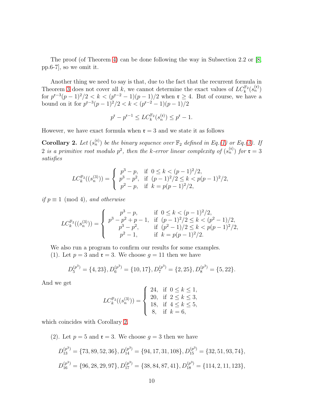The proof (of Theorem [4\)](#page-8-0) can be done following the way in Subsection 2.2 or [\[8,](#page-12-4) pp.6-7], so we omit it.

Another thing we need to say is that, due to the fact that the recurrent formula in Theorem [3](#page-3-3) does not cover all k, we cannot determine the exact values of  $LC_k^{\mathbb{F}_2}(s_n^{(\mathfrak{r})})$ for  $p^{r-3}(p-1)^2/2 < k < (p^{r-2}-1)(p-1)/2$  when  $r \geq 4$ . But of course, we have a bound on it for  $p^{r-3}(p-1)^2/2 < k < (p^{r-2}-1)(p-1)/2$ 

$$
p^\mathfrak{r}-p^{\mathfrak{r}-1}\le LC_k^{\mathbb{F}_2}(s_n^{(\mathfrak{r})})\le p^\mathfrak{r}-1.
$$

However, we have exact formula when  $\mathfrak{r} = 3$  and we state it as follows

<span id="page-9-0"></span>**Corollary 2.** Let  $(s_n^{(t)})$  be the binary sequence over  $\mathbb{F}_2$  defined in Eq.[\(1\)](#page-1-1) or Eq.[\(3\)](#page-2-0). If 2 is a primitive root modulo  $p^2$ , then the k-error linear complexity of  $(s_n^{(t)})$  for  $\mathfrak{r} = 3$ satisfies

$$
LC_k^{\mathbb{F}_2}((s_n^{(3)})) = \begin{cases} p^3 - p, & \text{if } 0 \le k < (p-1)^2/2, \\ p^3 - p^2, & \text{if } (p-1)^2/2 \le k < p(p-1)^2/2, \\ p^2 - p, & \text{if } k = p(p-1)^2/2, \end{cases}
$$

if  $p \equiv 1 \pmod{4}$ , and otherwise

$$
LC_k^{\mathbb{F}_2}((s_n^{(3)})) = \begin{cases} p^3 - p, & \text{if } 0 \le k < (p-1)^2/2, \\ p^3 - p^2 + p - 1, & \text{if } (p-1)^2/2 \le k < (p^2 - 1)/2, \\ p^3 - p^2, & \text{if } (p^2 - 1)/2 \le k < p(p-1)^2/2, \\ p^2 - 1, & \text{if } k = p(p-1)^2/2. \end{cases}
$$

We also run a program to confirm our results for some examples.

(1). Let  $p = 3$  and  $\mathfrak{r} = 3$ . We choose  $q = 11$  then we have

$$
D_5^{(p^3)} = \{4, 23\}, D_6^{(p^3)} = \{10, 17\}, D_7^{(p^3)} = \{2, 25\}, D_8^{(p^3)} = \{5, 22\}.
$$

And we get

$$
LC_k^{\mathbb{F}_2}((s_n^{(3)})) = \begin{cases} 24, & \text{if } 0 \le k \le 1, \\ 20, & \text{if } 2 \le k \le 3, \\ 18, & \text{if } 4 \le k \le 5, \\ 8, & \text{if } k = 6, \end{cases}
$$

which coincides with Corollary [2.](#page-9-0)

(2). Let 
$$
p = 5
$$
 and  $\mathbf{r} = 3$ . We choose  $g = 3$  then we have  
\n
$$
D_{13}^{(p^3)} = \{73, 89, 52, 36\}, D_{14}^{(p^3)} = \{94, 17, 31, 108\}, D_{15}^{(p^3)} = \{32, 51, 93, 74\},
$$
\n
$$
D_{16}^{(p^3)} = \{96, 28, 29, 97\}, D_{17}^{(p^3)} = \{38, 84, 87, 41\}, D_{18}^{(p^3)} = \{114, 2, 11, 123\},
$$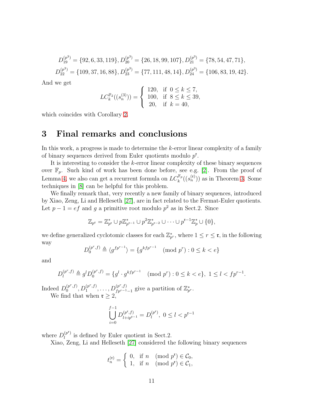$$
D_{19}^{(p^3)} = \{92, 6, 33, 119\}, D_{20}^{(p^3)} = \{26, 18, 99, 107\}, D_{21}^{(p^3)} = \{78, 54, 47, 71\},
$$
  

$$
D_{22}^{(p^3)} = \{109, 37, 16, 88\}, D_{23}^{(p^3)} = \{77, 111, 48, 14\}, D_{24}^{(p^3)} = \{106, 83, 19, 42\}.
$$

And we get

$$
LC_k^{\mathbb{F}_2}((s_n^{(3)})) = \begin{cases} 120, & \text{if } 0 \le k \le 7, \\ 100, & \text{if } 8 \le k \le 39, \\ 20, & \text{if } k = 40, \end{cases}
$$

which coincides with Corollary [2.](#page-9-0)

### 3 Final remarks and conclusions

In this work, a progress is made to determine the  $k$ -error linear complexity of a family of binary sequences derived from Euler quotients modulo  $p^{\mathfrak{r}}$ .

It is interesting to consider the k-error linear complexity of these binary sequences over  $\mathbb{F}_p$ . Such kind of work has been done before, see e.g. [\[2\]](#page-11-5). From the proof of Lemma [4,](#page-5-3) we also can get a recurrent formula on  $LC_k^{\mathbb{F}_p}((s_n^{(\mathfrak{r})}))$  as in Theorem [3.](#page-3-3) Some techniques in [\[8\]](#page-12-4) can be helpful for this problem.

We finally remark that, very recently a new family of binary sequences, introduced by Xiao, Zeng, Li and Helleseth [\[27\]](#page-13-2), are in fact related to the Fermat-Euler quotients. Let  $p-1 = ef$  and g a primitive root modulo  $p^2$  as in Sect.2. Since

$$
\mathbb{Z}_{p^{\mathfrak{r}}} = \mathbb{Z}_{p^{\mathfrak{r}}}^* \cup p\mathbb{Z}_{p^{\mathfrak{r}-1}}^* \cup p^2\mathbb{Z}_{p^{\mathfrak{r}-2}}^* \cup \cdots \cup p^{\mathfrak{r}-1}\mathbb{Z}_p^* \cup \{0\},
$$

we define generalized cyclotomic classes for each  $\mathbb{Z}_{p^r}^*$ , where  $1 \leq r \leq \mathfrak{r}$ , in the following way

$$
D_0^{(p^r, f)} \triangleq \langle g^{fp^{r-1}} \rangle = \{ g^{kfp^{r-1}} \pmod{p^r} : 0 \le k < e \}
$$

and

$$
D_l^{(p^r,f)} \triangleq g^l D_0^{(p^r,f)} = \{g^l \cdot g^{kfp^{r-1}} \pmod{p^r} : 0 \le k < e\}, \ 1 \le l < fp^{r-1}.
$$

Indeed  $D_0^{(p^r,f)}$  $\binom{(p^r,f)}{0}, D_1^{(p^r,f)}$  $1^{(p^r,f)}, \ldots, D_{fp^{r-1}-1}^{(p^r,f)}$  give a partition of  $\mathbb{Z}_{p^r}^*$ . We find that when  $\mathfrak{r} \geq 2$ ,

$$
\bigcup_{i=0}^{f-1} D_{l+ip^{\mathfrak{r}-1}}^{(p^{\mathfrak{r}},f)} = D_{l}^{(p^{\mathfrak{r}})}, \ 0 \le l < p^{\mathfrak{r}-1}
$$

where  $D_l^{(p^{\mathfrak{r}})}$  $\ell_l^{(p)}$  is defined by Euler quotient in Sect.2.

Xiao, Zeng, Li and Helleseth [\[27\]](#page-13-2) considered the following binary sequences

$$
t_n^{(r)} = \begin{cases} 0, & \text{if } n \pmod{p^r} \in \mathcal{C}_0, \\ 1, & \text{if } n \pmod{p^r} \in \mathcal{C}_1, \end{cases}
$$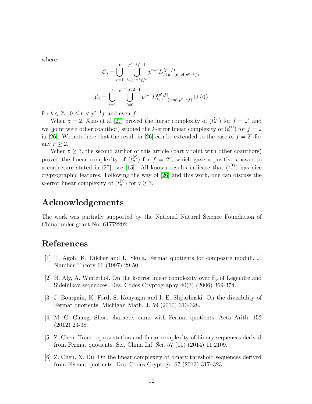where

$$
C_0 = \bigcup_{r=1}^{\mathfrak{r}} \bigcup_{l=p^{r-1}f/2}^{p^{r-1}f-1} p^{\mathfrak{r}-r} D_{l+b}^{(p^r,f)} \pmod{p^{r-1}f},
$$
  

$$
C_1 = \bigcup_{r=1}^{\mathfrak{r}} \bigcup_{l=0}^{p^{r-1}f/2-1} p^{\mathfrak{r}-r} D_{l+b}^{(p^r,f)} \pmod{p^{r-1}f} \cup \{0\}
$$

for  $b \in \mathbb{Z} : 0 \leq b < p^{r-1}f$  and even f.

When  $\mathfrak{r} = 2$ , Xiao et al [\[27\]](#page-13-2) proved the linear complexity of  $(t_n^{(\mathfrak{r})})$  for  $f = 2^r$  and we (joint with other coauthor) studied the k-error linear complexity of  $(t_n^{(t)})$  for  $f = 2$ in [\[26\]](#page-13-3). We note here that the result in [26] can be extended to the case of  $f = 2<sup>r</sup>$  for any  $r \geq 2$ .

When  $\mathfrak{r} \geq 3$ , the second author of this article (partly joint with other coauthors) proved the linear complexity of  $(t_n^{(r)})$  for  $f = 2^r$ , which gave a positive answer to a conjecture stated in [\[27\]](#page-13-2), see [\[15\]](#page-12-11). All known results indicate that  $(t_n^{(r)})$  has nice cryptographic features. Following the way of [\[26\]](#page-13-3) and this work, one can discuss the k-error linear complexity of  $(t_n^{(t)})$  for  $t \geq 3$ .

### Acknowledgements

The work was partially supported by the National Natural Science Foundation of China under grant No. 61772292.

### <span id="page-11-0"></span>References

- <span id="page-11-5"></span>[1] T. Agoh, K. Dilcher and L. Skula. Fermat quotients for composite moduli. J. Number Theory 66 (1997) 29-50.
- [2] H. Aly, A. Winterhof. On the k-error linear complexity over  $\mathbb{F}_p$  of Legendre and Sidelnikov sequences. Des. Codes Cryptography 40(3) (2006) 369-374.
- <span id="page-11-1"></span>[3] J. Bourgain, K. Ford, S. Konyagin and I. E. Shparlinski. On the divisibility of Fermat quotients. Michigan Math. J. 59 (2010) 313-328.
- <span id="page-11-2"></span>[4] M. C. Chang. Short character sums with Fermat quotients. Acta Arith. 152 (2012) 23-38.
- <span id="page-11-3"></span>[5] Z. Chen. Trace representation and linear complexity of binary sequences derived from Fermat quotients. Sci. China Inf. Sci. 57 (11) (2014) 11:2109.
- <span id="page-11-4"></span>[6] Z. Chen, X. Du. On the linear complexity of binary threshold sequences derived from Fermat quotients. Des. Codes Cryptogr. 67 (2013) 317–323.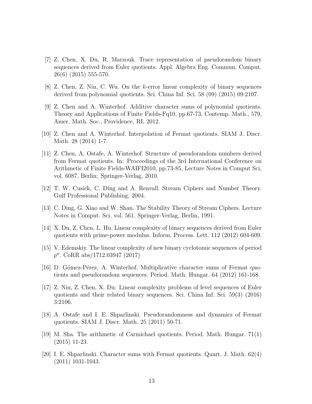- <span id="page-12-8"></span>[7] Z. Chen, X. Du, R. Marzouk. Trace representation of pseudorandom binary sequences derived from Euler quotients. Appl. Algebra Eng. Commun. Comput. 26(6) (2015) 555-570.
- <span id="page-12-4"></span><span id="page-12-1"></span>[8] Z. Chen, Z. Niu, C. Wu. On the k-error linear complexity of binary sequences derived from polynomial quotients. Sci. China Inf. Sci. 58 (09) (2015) 09:2107.
- [9] Z. Chen and A. Winterhof. Additive character sums of polynomial quotients. Theory and Applications of Finite Fields-Fq10, pp.67-73, Contemp. Math., 579, Amer. Math. Soc., Providence, RI, 2012.
- <span id="page-12-5"></span><span id="page-12-2"></span>[10] Z. Chen and A. Winterhof. Interpolation of Fermat quotients. SIAM J. Discr. Math. 28 (2014) 1-7.
- [11] Z. Chen, A. Ostafe, A. Winterhof. Structure of pseudorandom numbers derived from Fermat quotients. In: Proceedings of the 3rd International Conference on Arithmetic of Finite Fields-WAIFI2010, pp.73-85, Lecture Notes in Comput Sci, vol. 6087, Berlin: Springer-Verlag, 2010.
- <span id="page-12-10"></span><span id="page-12-9"></span>[12] T. W. Cusick, C. Ding and A. Renvall. Stream Ciphers and Number Theory. Gulf Professional Publishing, 2004.
- <span id="page-12-6"></span>[13] C. Ding, G. Xiao and W. Shan. The Stability Theory of Stream Ciphers. Lecture Notes in Comput. Sci. vol. 561. Springer-Verlag, Berlin, 1991.
- <span id="page-12-11"></span>[14] X. Du, Z. Chen, L. Hu. Linear complexity of binary sequences derived from Euler quotients with prime-power modulus. Inform. Process. Lett. 112 (2012) 604-609.
- [15] V. Edemskiy. The linear complexity of new binary cyclotomic sequences of period p<sup>n</sup>. CoRR abs/1712.03947 (2017)
- <span id="page-12-7"></span>[16] D. Gómez-Pérez, A. Winterhof. Multiplicative character sums of Fermat quotients and pseudorandom sequences. Period. Math. Hungar. 64 (2012) 161-168.
- [17] Z. Niu, Z. Chen, X. Du: Linear complexity problems of level sequences of Euler quotients and their related binary sequences. Sci. China Inf. Sci. 59(3) (2016) 3:2106.
- <span id="page-12-3"></span>[18] A. Ostafe and I. E. Shparlinski. Pseudorandomness and dynamics of Fermat quotients. SIAM J. Discr. Math. 25 (2011) 50-71.
- <span id="page-12-0"></span>[19] M. Sha. The arithmetic of Carmichael quotients. Period. Math. Hungar. 71(1) (2015) 11-23.
- [20] I. E. Shparlinski. Character sums with Fermat quotients. Quart. J. Math. 62(4) (2011) 1031-1043.